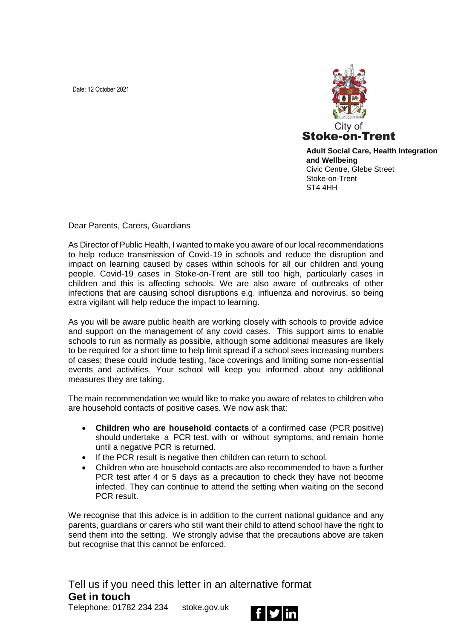Date: 12 October 2021



**Adult Social Care, Health Integration and Wellbeing**  Civic Centre, Glebe Street Stoke-on-Trent ST4 4HH

Dear Parents, Carers, Guardians

As Director of Public Health, I wanted to make you aware of our local recommendations to help reduce transmission of Covid-19 in schools and reduce the disruption and impact on learning caused by cases within schools for all our children and young people. Covid-19 cases in Stoke-on-Trent are still too high, particularly cases in children and this is affecting schools. We are also aware of outbreaks of other infections that are causing school disruptions e.g. influenza and norovirus, so being extra vigilant will help reduce the impact to learning.

As you will be aware public health are working closely with schools to provide advice and support on the management of any covid cases. This support aims to enable schools to run as normally as possible, although some additional measures are likely to be required for a short time to help limit spread if a school sees increasing numbers of cases; these could include testing, face coverings and limiting some non-essential events and activities. Your school will keep you informed about any additional measures they are taking.

The main recommendation we would like to make you aware of relates to children who are household contacts of positive cases. We now ask that:

- **Children who are household contacts** of a confirmed case (PCR positive) should undertake a PCR test, with or without symptoms, and remain home until a negative PCR is returned.
- If the PCR result is negative then children can return to school.
- Children who are household contacts are also recommended to have a further PCR test after 4 or 5 days as a precaution to check they have not become infected. They can continue to attend the setting when waiting on the second PCR result.

We recognise that this advice is in addition to the current national guidance and any parents, guardians or carers who still want their child to attend school have the right to send them into the setting. We strongly advise that the precautions above are taken but recognise that this cannot be enforced.

Tell us if you need this letter in an alternative format **Get in touch**

Telephone: 01782 234 234 stoke.gov.uk